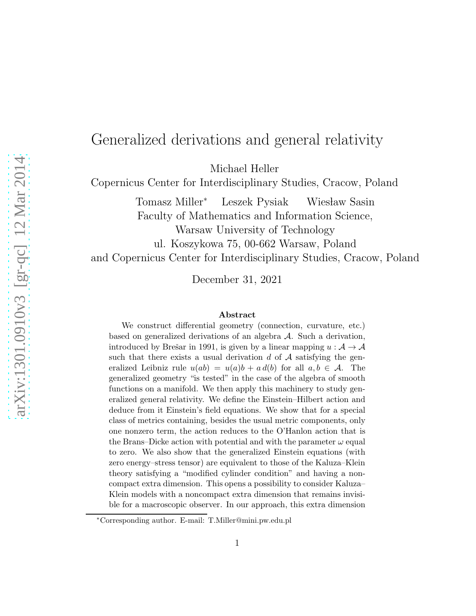### Generalized derivations and general relativity

Michael Heller

Copernicus Center for Interdisciplinary Studies, Cracow, Poland

Tomasz Miller<sup>∗</sup> Leszek Pysiak Wiesław Sasin Faculty of Mathematics and Information Science, Warsaw University of Technology

ul. Koszykowa 75, 00-662 Warsaw, Poland

and Copernicus Center for Interdisciplinary Studies, Cracow, Poland

December 31, 2021

#### Abstract

We construct differential geometry (connection, curvature, etc.) based on generalized derivations of an algebra  $A$ . Such a derivation, introduced by Brešar in 1991, is given by a linear mapping  $u : A \rightarrow A$ such that there exists a usual derivation  $d$  of  $A$  satisfying the generalized Leibniz rule  $u(ab) = u(a)b + a d(b)$  for all  $a, b \in \mathcal{A}$ . The generalized geometry "is tested" in the case of the algebra of smooth functions on a manifold. We then apply this machinery to study generalized general relativity. We define the Einstein–Hilbert action and deduce from it Einstein's field equations. We show that for a special class of metrics containing, besides the usual metric components, only one nonzero term, the action reduces to the O'Hanlon action that is the Brans–Dicke action with potential and with the parameter  $\omega$  equal to zero. We also show that the generalized Einstein equations (with zero energy–stress tensor) are equivalent to those of the Kaluza–Klein theory satisfying a "modified cylinder condition" and having a noncompact extra dimension. This opens a possibility to consider Kaluza– Klein models with a noncompact extra dimension that remains invisible for a macroscopic observer. In our approach, this extra dimension

<sup>∗</sup>Corresponding author. E-mail: T.Miller@mini.pw.edu.pl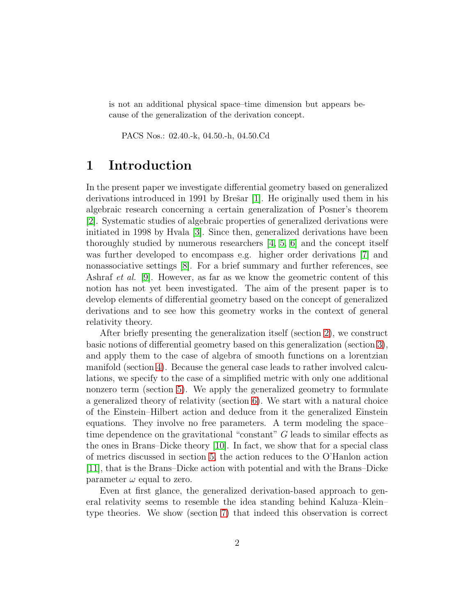is not an additional physical space–time dimension but appears because of the generalization of the derivation concept.

PACS Nos.: 02.40.-k, 04.50.-h, 04.50.Cd

### 1 Introduction

In the present paper we investigate differential geometry based on generalized derivations introduced in 1991 by Brešar  $[1]$ . He originally used them in his algebraic research concerning a certain generalization of Posner's theorem [\[2\]](#page-18-1). Systematic studies of algebraic properties of generalized derivations were initiated in 1998 by Hvala [\[3\]](#page-18-2). Since then, generalized derivations have been thoroughly studied by numerous researchers [\[4,](#page-18-3) [5,](#page-18-4) [6\]](#page-18-5) and the concept itself was further developed to encompass e.g. higher order derivations [\[7\]](#page-18-6) and nonassociative settings [\[8\]](#page-18-7). For a brief summary and further references, see Ashraf et al. [\[9\]](#page-18-8). However, as far as we know the geometric content of this notion has not yet been investigated. The aim of the present paper is to develop elements of differential geometry based on the concept of generalized derivations and to see how this geometry works in the context of general relativity theory.

After briefly presenting the generalization itself (section [2\)](#page-2-0), we construct basic notions of differential geometry based on this generalization (section [3\)](#page-4-0), and apply them to the case of algebra of smooth functions on a lorentzian manifold (section [4\)](#page-5-0). Because the general case leads to rather involved calculations, we specify to the case of a simplified metric with only one additional nonzero term (section [5\)](#page-7-0). We apply the generalized geometry to formulate a generalized theory of relativity (section [6\)](#page-9-0). We start with a natural choice of the Einstein–Hilbert action and deduce from it the generalized Einstein equations. They involve no free parameters. A term modeling the space– time dependence on the gravitational "constant" G leads to similar effects as the ones in Brans–Dicke theory [\[10\]](#page-18-9). In fact, we show that for a special class of metrics discussed in section [5,](#page-7-0) the action reduces to the O'Hanlon action [\[11\]](#page-18-10), that is the Brans–Dicke action with potential and with the Brans–Dicke parameter  $\omega$  equal to zero.

Even at first glance, the generalized derivation-based approach to general relativity seems to resemble the idea standing behind Kaluza–Klein– type theories. We show (section [7\)](#page-13-0) that indeed this observation is correct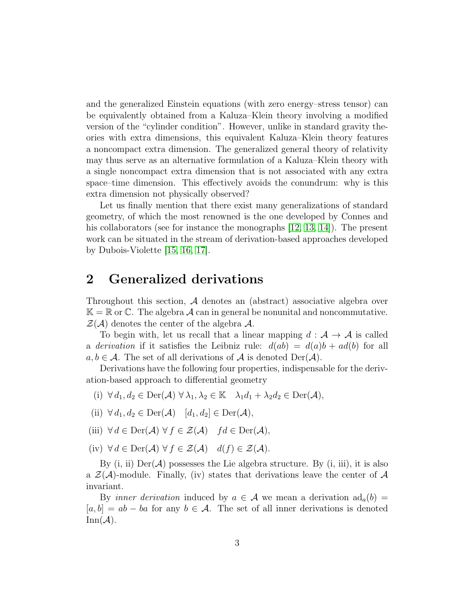and the generalized Einstein equations (with zero energy–stress tensor) can be equivalently obtained from a Kaluza–Klein theory involving a modified version of the "cylinder condition". However, unlike in standard gravity theories with extra dimensions, this equivalent Kaluza–Klein theory features a noncompact extra dimension. The generalized general theory of relativity may thus serve as an alternative formulation of a Kaluza–Klein theory with a single noncompact extra dimension that is not associated with any extra space–time dimension. This effectively avoids the conundrum: why is this extra dimension not physically observed?

Let us finally mention that there exist many generalizations of standard geometry, of which the most renowned is the one developed by Connes and his collaborators (see for instance the monographs [\[12,](#page-18-11) [13,](#page-18-12) [14\]](#page-18-13)). The present work can be situated in the stream of derivation-based approaches developed by Dubois-Violette [\[15,](#page-18-14) [16,](#page-19-0) [17\]](#page-19-1).

### <span id="page-2-0"></span>2 Generalized derivations

Throughout this section,  $\mathcal A$  denotes an (abstract) associative algebra over  $\mathbb{K} = \mathbb{R}$  or  $\mathbb{C}$ . The algebra A can in general be nonunital and noncommutative.  $\mathcal{Z}(\mathcal{A})$  denotes the center of the algebra  $\mathcal{A}$ .

To begin with, let us recall that a linear mapping  $d : A \rightarrow A$  is called a *derivation* if it satisfies the Leibniz rule:  $d(ab) = d(a)b + ad(b)$  for all  $a, b \in \mathcal{A}$ . The set of all derivations of  $\mathcal A$  is denoted  $\mathrm{Der}(\mathcal A)$ .

Derivations have the following four properties, indispensable for the derivation-based approach to differential geometry

- (i)  $\forall d_1, d_2 \in \text{Der}(\mathcal{A}) \ \forall \lambda_1, \lambda_2 \in \mathbb{K} \quad \lambda_1 d_1 + \lambda_2 d_2 \in \text{Der}(\mathcal{A}),$
- (ii)  $\forall d_1, d_2 \in \text{Der}(\mathcal{A}) \quad [d_1, d_2] \in \text{Der}(\mathcal{A}),$
- (iii)  $\forall d \in \text{Der}(\mathcal{A}) \ \forall f \in \mathcal{Z}(\mathcal{A}) \ \ fd \in \text{Der}(\mathcal{A}),$
- (iv)  $\forall d \in \text{Der}(\mathcal{A}) \ \forall f \in \mathcal{Z}(\mathcal{A}) \ d(f) \in \mathcal{Z}(\mathcal{A}).$

By  $(i, ii)$  Der $(\mathcal{A})$  possesses the Lie algebra structure. By  $(i, iii)$ , it is also a  $\mathcal{Z}(\mathcal{A})$ -module. Finally, (iv) states that derivations leave the center of  $\mathcal{A}$ invariant.

By *inner derivation* induced by  $a \in \mathcal{A}$  we mean a derivation  $\text{ad}_a(b) =$  $[a, b] = ab - ba$  for any  $b \in \mathcal{A}$ . The set of all inner derivations is denoted  $\text{Inn}(\mathcal{A})$ .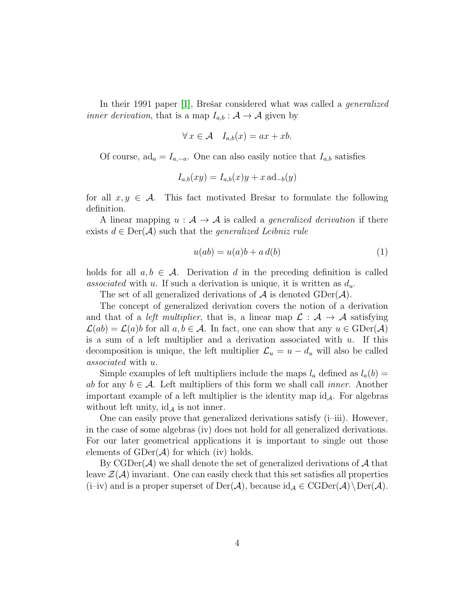In their 1991 paper 1, Bresar considered what was called a *generalized inner derivation*, that is a map  $I_{a,b}$ :  $A \rightarrow A$  given by

$$
\forall x \in \mathcal{A} \quad I_{a,b}(x) = ax + xb.
$$

Of course,  $ad_a = I_{a,-a}$ . One can also easily notice that  $I_{a,b}$  satisfies

$$
I_{a,b}(xy) = I_{a,b}(x)y + x \operatorname{ad}_{-b}(y)
$$

for all  $x, y \in \mathcal{A}$ . This fact motivated Brešar to formulate the following definition.

A linear mapping  $u : \mathcal{A} \to \mathcal{A}$  is called a *generalized derivation* if there exists  $d \in \text{Der}(\mathcal{A})$  such that the *generalized Leibniz rule* 

<span id="page-3-0"></span>
$$
u(ab) = u(a)b + a d(b)
$$
\n<sup>(1)</sup>

holds for all  $a, b \in \mathcal{A}$ . Derivation d in the preceding definition is called associated with u. If such a derivation is unique, it is written as  $d_u$ .

The set of all generalized derivations of  $A$  is denoted  $\text{GDer}(A)$ .

The concept of generalized derivation covers the notion of a derivation and that of a *left multiplier*, that is, a linear map  $\mathcal{L}: \mathcal{A} \to \mathcal{A}$  satisfying  $\mathcal{L}(ab) = \mathcal{L}(a)b$  for all  $a, b \in \mathcal{A}$ . In fact, one can show that any  $u \in \text{GDer}(\mathcal{A})$ is a sum of a left multiplier and a derivation associated with  $u$ . If this decomposition is unique, the left multiplier  $\mathcal{L}_u = u - d_u$  will also be called associated with u.

Simple examples of left multipliers include the maps  $l_a$  defined as  $l_a(b)$  = ab for any  $b \in \mathcal{A}$ . Left multipliers of this form we shall call *inner*. Another important example of a left multiplier is the identity map  $id_A$ . For algebras without left unity,  $\mathrm{id}_A$  is not inner.

One can easily prove that generalized derivations satisfy (i–iii). However, in the case of some algebras (iv) does not hold for all generalized derivations. For our later geometrical applications it is important to single out those elements of  $GDer(A)$  for which (iv) holds.

By CGDer( $A$ ) we shall denote the set of generalized derivations of  $A$  that leave  $\mathcal{Z}(\mathcal{A})$  invariant. One can easily check that this set satisfies all properties (i–iv) and is a proper superset of  $Der(\mathcal{A})$ , because  $id_{\mathcal{A}} \in CGDer(\mathcal{A})\backslash Der(\mathcal{A})$ .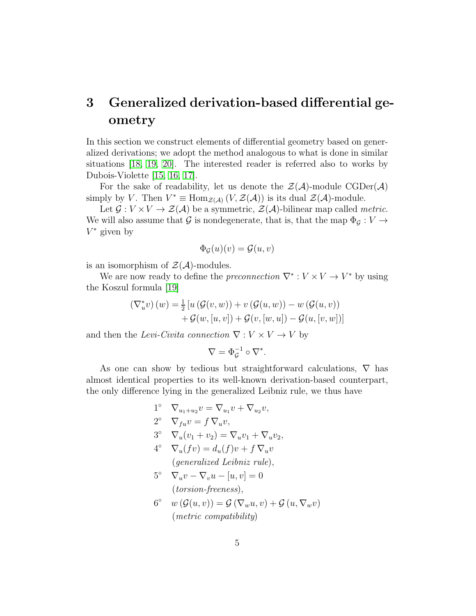### <span id="page-4-0"></span>3 Generalized derivation-based differential geometry

In this section we construct elements of differential geometry based on generalized derivations; we adopt the method analogous to what is done in similar situations [\[18,](#page-19-2) [19,](#page-19-3) [20\]](#page-19-4). The interested reader is referred also to works by Dubois-Violette [\[15,](#page-18-14) [16,](#page-19-0) [17\]](#page-19-1).

For the sake of readability, let us denote the  $\mathcal{Z}(\mathcal{A})$ -module  $\mathrm{CGDer}(\mathcal{A})$ simply by V. Then  $V^* \equiv \text{Hom}_{\mathcal{Z}(\mathcal{A})}(V, \mathcal{Z}(\mathcal{A}))$  is its dual  $\mathcal{Z}(\mathcal{A})$ -module.

Let  $\mathcal{G}: V \times V \to \mathcal{Z}(\mathcal{A})$  be a symmetric,  $\mathcal{Z}(\mathcal{A})$ -bilinear map called *metric*. We will also assume that G is nondegenerate, that is, that the map  $\Phi_{\mathcal{G}}: V \to$  $V^*$  given by

$$
\Phi_{\mathcal{G}}(u)(v) = \mathcal{G}(u, v)
$$

is an isomorphism of  $\mathcal{Z}(\mathcal{A})$ -modules.

We are now ready to define the *preconnection*  $\nabla^* : V \times V \to V^*$  by using the Koszul formula [\[19\]](#page-19-3)

$$
\begin{aligned} \left(\nabla_u^* v\right)(w) &= \frac{1}{2} \left[ u\left(\mathcal{G}(v, w)\right) + v\left(\mathcal{G}(u, w)\right) - w\left(\mathcal{G}(u, v)\right) \right. \\ &\quad \left. + \mathcal{G}(w, [u, v]) + \mathcal{G}(v, [w, u]) - \mathcal{G}(u, [v, w]) \right] \end{aligned}
$$

and then the Levi-Civita connection  $\nabla: V \times V \to V$  by

$$
\nabla = \Phi_{\mathcal{G}}^{-1} \circ \nabla^*.
$$

As one can show by tedious but straightforward calculations,  $\nabla$  has almost identical properties to its well-known derivation-based counterpart, the only difference lying in the generalized Leibniz rule, we thus have

- $1^{\circ}$   $\nabla_{u_1+u_2}v = \nabla_{u_1}v + \nabla_{u_2}v,$  $2^{\circ}$   $\nabla_{fu}v = f \nabla_{u}v,$
- 3°  $\nabla_u (v_1 + v_2) = \nabla_u v_1 + \nabla_u v_2,$
- $4^{\circ} \quad \nabla_u(fv) = d_u(f)v + f \nabla_u v$ (generalized Leibniz rule),
- 5°  $\nabla_u v \nabla_v u [u, v] = 0$ (torsion-freeness),
- $6^{\circ}$   $w(\mathcal{G}(u,v)) = \mathcal{G}(\nabla_w u, v) + \mathcal{G}(u, \nabla_w v)$ (metric compatibility)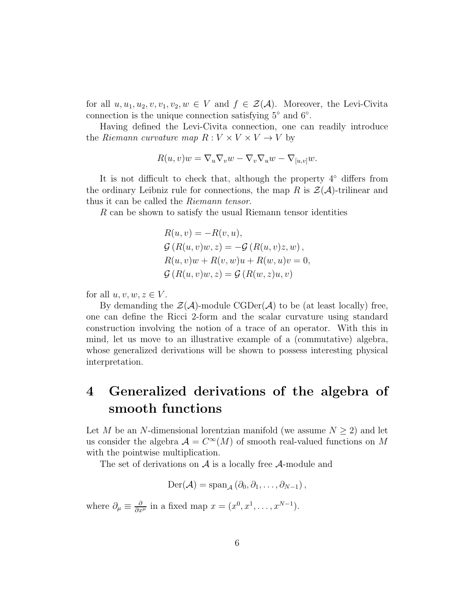for all  $u, u_1, u_2, v, v_1, v_2, w \in V$  and  $f \in \mathcal{Z}(\mathcal{A})$ . Moreover, the Levi-Civita connection is the unique connection satisfying 5° and 6°.

Having defined the Levi-Civita connection, one can readily introduce the Riemann curvature map  $R: V \times V \times V \rightarrow V$  by

$$
R(u, v)w = \nabla_u \nabla_v w - \nabla_v \nabla_u w - \nabla_{[u, v]} w.
$$

It is not difficult to check that, although the property  $4°$  differs from the ordinary Leibniz rule for connections, the map R is  $\mathcal{Z}(\mathcal{A})$ -trilinear and thus it can be called the Riemann tensor.

R can be shown to satisfy the usual Riemann tensor identities

$$
R(u, v) = -R(v, u),
$$
  
\n
$$
\mathcal{G}(R(u, v)w, z) = -\mathcal{G}(R(u, v)z, w),
$$
  
\n
$$
R(u, v)w + R(v, w)u + R(w, u)v = 0,
$$
  
\n
$$
\mathcal{G}(R(u, v)w, z) = \mathcal{G}(R(w, z)u, v)
$$

for all  $u, v, w, z \in V$ .

By demanding the  $\mathcal{Z}(\mathcal{A})$ -module CGDer( $\mathcal{A}$ ) to be (at least locally) free, one can define the Ricci 2-form and the scalar curvature using standard construction involving the notion of a trace of an operator. With this in mind, let us move to an illustrative example of a (commutative) algebra, whose generalized derivations will be shown to possess interesting physical interpretation.

# <span id="page-5-0"></span>4 Generalized derivations of the algebra of smooth functions

Let M be an N-dimensional lorentzian manifold (we assume  $N \geq 2$ ) and let us consider the algebra  $\mathcal{A} = C^{\infty}(M)$  of smooth real-valued functions on M with the pointwise multiplication.

The set of derivations on  $A$  is a locally free  $A$ -module and

$$
\mathrm{Der}(\mathcal{A})=\mathrm{span}_{\mathcal{A}}\left(\partial_0,\partial_1,\ldots,\partial_{N-1}\right),
$$

where  $\partial_{\mu} \equiv \frac{\partial}{\partial x^{\mu}}$  in a fixed map  $x = (x^0, x^1, \dots, x^{N-1})$ .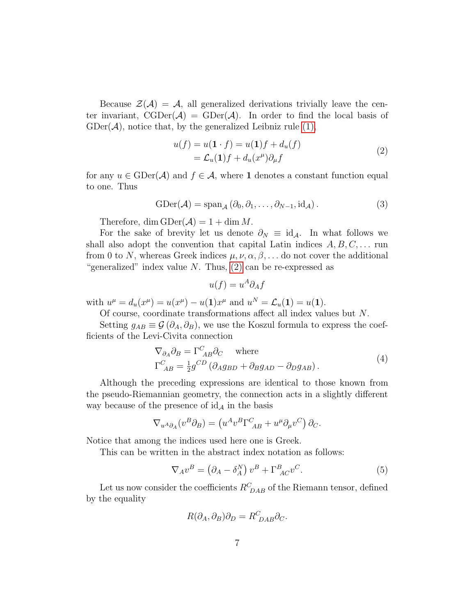Because  $\mathcal{Z}(\mathcal{A}) = \mathcal{A}$ , all generalized derivations trivially leave the center invariant,  $CGDer(\mathcal{A}) = GDer(\mathcal{A})$ . In order to find the local basis of  $GDer(\mathcal{A})$ , notice that, by the generalized Leibniz rule  $(1)$ ,

<span id="page-6-0"></span>
$$
u(f) = u(\mathbf{1} \cdot f) = u(\mathbf{1})f + d_u(f)
$$
  
=  $\mathcal{L}_u(\mathbf{1})f + d_u(x^{\mu})\partial_{\mu}f$  (2)

for any  $u \in \text{GDer}(\mathcal{A})$  and  $f \in \mathcal{A}$ , where 1 denotes a constant function equal to one. Thus

$$
GDer(\mathcal{A}) = span_{\mathcal{A}} (\partial_0, \partial_1, \dots, \partial_{N-1}, id_{\mathcal{A}}).
$$
 (3)

Therefore, dim  $GDer(A) = 1 + \dim M$ .

For the sake of brevity let us denote  $\partial_N \equiv id_{\mathcal{A}}$ . In what follows we shall also adopt the convention that capital Latin indices  $A, B, C, \ldots$  run from 0 to N, whereas Greek indices  $\mu, \nu, \alpha, \beta, \ldots$  do not cover the additional "generalized" index value  $N$ . Thus,  $(2)$  can be re-expressed as

<span id="page-6-3"></span><span id="page-6-2"></span>
$$
u(f) = u^A \partial_A f
$$

with  $u^{\mu} = d_u(x^{\mu}) = u(x^{\mu}) - u(1)x^{\mu}$  and  $u^N = \mathcal{L}_u(1) = u(1)$ .

Of course, coordinate transformations affect all index values but N.

Setting  $g_{AB} \equiv \mathcal{G}(\partial_A, \partial_B)$ , we use the Koszul formula to express the coefficients of the Levi-Civita connection

$$
\nabla_{\partial_A} \partial_B = \Gamma^C_{AB} \partial_C \quad \text{where}
$$
  
\n
$$
\Gamma^C_{AB} = \frac{1}{2} g^{CD} \left( \partial_A g_{BD} + \partial_B g_{AD} - \partial_D g_{AB} \right).
$$
\n(4)

Although the preceding expressions are identical to those known from the pseudo-Riemannian geometry, the connection acts in a slightly different way because of the presence of  $\mathrm{id}_{\mathcal{A}}$  in the basis

$$
\nabla_{u^A \partial_A} (v^B \partial_B) = \left( u^A v^B \Gamma^C_{\ AB} + u^\mu \partial_\mu v^C \right) \partial_C.
$$

Notice that among the indices used here one is Greek.

This can be written in the abstract index notation as follows:

$$
\nabla_A v^B = \left(\partial_A - \delta_A^N\right) v^B + \Gamma^B_{AC} v^C. \tag{5}
$$

Let us now consider the coefficients  $R_{DAB}^C$  of the Riemann tensor, defined by the equality

<span id="page-6-1"></span>
$$
R(\partial_A, \partial_B)\partial_D = R^C_{\ DAB}\partial_C.
$$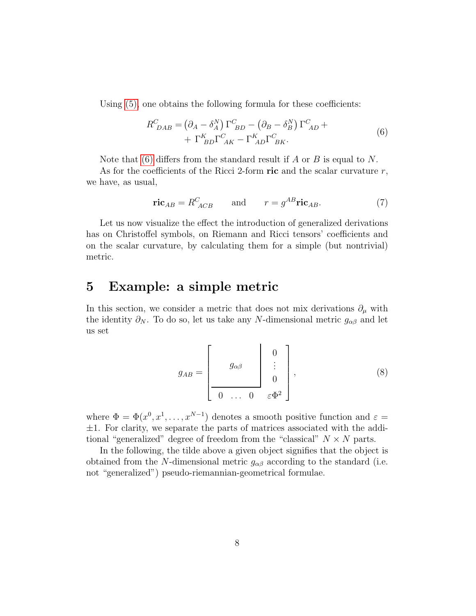Using  $(5)$ , one obtains the following formula for these coefficients:

<span id="page-7-1"></span>
$$
R^{C}_{DAB} = (\partial_A - \delta^N_A) \Gamma^{C}_{BD} - (\partial_B - \delta^N_B) \Gamma^{C}_{AD} + \Gamma^{K}_{BD} \Gamma^{C}_{AK} - \Gamma^{K}_{AD} \Gamma^{C}_{BK}.
$$
\n(6)

Note that [\(6\)](#page-7-1) differs from the standard result if A or B is equal to N.

As for the coefficients of the Ricci 2-form ric and the scalar curvature  $r$ , we have, as usual,

<span id="page-7-2"></span>
$$
\text{ric}_{AB} = R^C_{ACB} \qquad \text{and} \qquad r = g^{AB} \text{ric}_{AB}. \tag{7}
$$

Let us now visualize the effect the introduction of generalized derivations has on Christoffel symbols, on Riemann and Ricci tensors' coefficients and on the scalar curvature, by calculating them for a simple (but nontrivial) metric.

#### <span id="page-7-0"></span>5 Example: a simple metric

In this section, we consider a metric that does not mix derivations  $\partial_{\mu}$  with the identity  $\partial_N$ . To do so, let us take any N-dimensional metric  $g_{\alpha\beta}$  and let us set

$$
g_{AB} = \begin{bmatrix} g_{\alpha\beta} & 0 \\ \vdots & \vdots \\ 0 & \dots & 0 \\ 0 & \vdots \\ 0 & \dots & 0 \end{bmatrix}, \tag{8}
$$

where  $\Phi = \Phi(x^0, x^1, \dots, x^{N-1})$  denotes a smooth positive function and  $\varepsilon =$  $\pm 1$ . For clarity, we separate the parts of matrices associated with the additional "generalized" degree of freedom from the "classical"  $N \times N$  parts.

In the following, the tilde above a given object signifies that the object is obtained from the N-dimensional metric  $g_{\alpha\beta}$  according to the standard (i.e. not "generalized") pseudo-riemannian-geometrical formulae.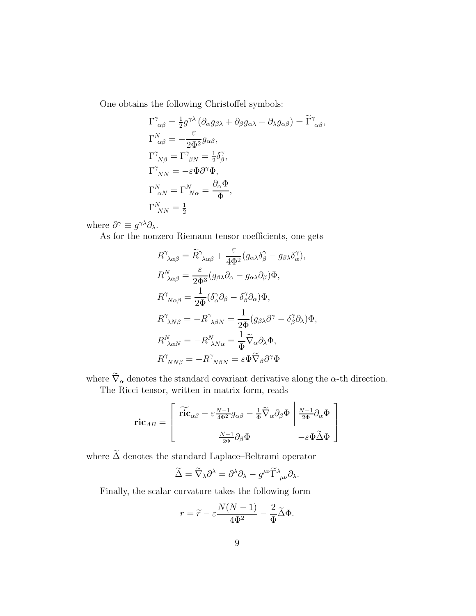One obtains the following Christoffel symbols:

$$
\Gamma^{\gamma}_{\alpha\beta} = \frac{1}{2} g^{\gamma\lambda} (\partial_{\alpha} g_{\beta\lambda} + \partial_{\beta} g_{\alpha\lambda} - \partial_{\lambda} g_{\alpha\beta}) = \widetilde{\Gamma}^{\gamma}_{\alpha\beta},
$$
\n
$$
\Gamma^N_{\alpha\beta} = -\frac{\varepsilon}{2\Phi^2} g_{\alpha\beta},
$$
\n
$$
\Gamma^{\gamma}_{N\beta} = \Gamma^{\gamma}_{\beta N} = \frac{1}{2} \delta^{\gamma}_{\beta},
$$
\n
$$
\Gamma^{\gamma}_{N N} = -\varepsilon \Phi \partial^{\gamma} \Phi,
$$
\n
$$
\Gamma^N_{\alpha N} = \Gamma^N_{N \alpha} = \frac{\partial_{\alpha} \Phi}{\Phi},
$$
\n
$$
\Gamma^N_{N N} = \frac{1}{2}
$$

where  $\partial^{\gamma} \equiv g^{\gamma \lambda} \partial_{\lambda}$ .

As for the nonzero Riemann tensor coefficients, one gets

$$
R^{\gamma}_{\ \lambda\alpha\beta} = \widetilde{R}^{\gamma}_{\ \lambda\alpha\beta} + \frac{\varepsilon}{4\Phi^2} (g_{\alpha\lambda}\delta^{\gamma}_{\beta} - g_{\beta\lambda}\delta^{\gamma}_{\alpha}),
$$
  
\n
$$
R^N_{\ \lambda\alpha\beta} = \frac{\varepsilon}{2\Phi^3} (g_{\beta\lambda}\partial_{\alpha} - g_{\alpha\lambda}\partial_{\beta})\Phi,
$$
  
\n
$$
R^{\gamma}_{\ N\alpha\beta} = \frac{1}{2\Phi} (\delta^{\gamma}_{\alpha}\partial_{\beta} - \delta^{\gamma}_{\beta}\partial_{\alpha})\Phi,
$$
  
\n
$$
R^{\gamma}_{\ \lambda N\beta} = -R^{\gamma}_{\ \lambda\beta N} = \frac{1}{2\Phi} (g_{\beta\lambda}\partial^{\gamma} - \delta^{\gamma}_{\beta}\partial_{\lambda})\Phi,
$$
  
\n
$$
R^N_{\ \lambda\alpha N} = -R^N_{\ \lambda N\alpha} = \frac{1}{\Phi} \widetilde{\nabla}_{\alpha}\partial_{\lambda}\Phi,
$$
  
\n
$$
R^{\gamma}_{\ N N \beta} = -R^{\gamma}_{\ \ N \beta N} = \varepsilon \Phi \widetilde{\nabla}_{\beta}\partial^{\gamma}\Phi
$$

where  $\widetilde{\nabla}_{\alpha}$  denotes the standard covariant derivative along the  $\alpha\text{-th}$  direction.

The Ricci tensor, written in matrix form, reads

$$
\text{ric}_{AB} = \left[ \frac{\widetilde{\text{ric}}_{\alpha\beta} - \varepsilon \frac{N-1}{4\Phi^2} g_{\alpha\beta} - \frac{1}{\Phi} \widetilde{\nabla}_{\alpha} \partial_{\beta} \Phi \right] \frac{N-1}{2\Phi} \partial_{\alpha} \Phi}{\frac{N-1}{2\Phi} \partial_{\beta} \Phi} - \varepsilon \Phi \widetilde{\Delta} \Phi \right]
$$

where  $\widetilde{\Delta}$  denotes the standard Laplace–Beltrami operator

$$
\widetilde{\Delta} = \widetilde{\nabla}_{\lambda} \partial^{\lambda} = \partial^{\lambda} \partial_{\lambda} - g^{\mu\nu} \widetilde{\Gamma}^{\lambda}_{\mu\nu} \partial_{\lambda}.
$$

Finally, the scalar curvature takes the following form

$$
r = \widetilde{r} - \varepsilon \frac{N(N-1)}{4\Phi^2} - \frac{2}{\Phi} \widetilde{\Delta} \Phi.
$$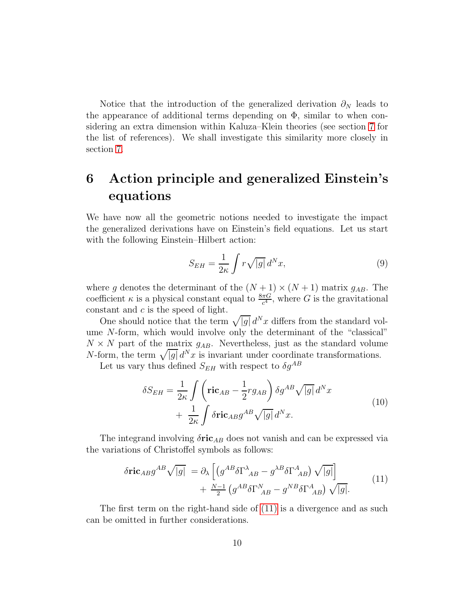Notice that the introduction of the generalized derivation  $\partial_N$  leads to the appearance of additional terms depending on  $\Phi$ , similar to when considering an extra dimension within Kaluza–Klein theories (see section [7](#page-13-0) for the list of references). We shall investigate this similarity more closely in section [7.](#page-13-0)

# <span id="page-9-0"></span>6 Action principle and generalized Einstein's equations

We have now all the geometric notions needed to investigate the impact the generalized derivations have on Einstein's field equations. Let us start with the following Einstein–Hilbert action:

$$
S_{EH} = \frac{1}{2\kappa} \int r\sqrt{|g|} \, d^N x,\tag{9}
$$

where g denotes the determinant of the  $(N + 1) \times (N + 1)$  matrix  $g_{AB}$ . The coefficient  $\kappa$  is a physical constant equal to  $\frac{8\pi G}{c^4}$ , where G is the gravitational constant and c is the speed of light.

One should notice that the term  $\sqrt{|g|} d^N x$  differs from the standard volume N-form, which would involve only the determinant of the "classical"  $N \times N$  part of the matrix  $g_{AB}$ . Nevertheless, just as the standard volume N-form, the term  $\sqrt{|g|} d^N x$  is invariant under coordinate transformations.

Let us vary thus defined  $S_{EH}$  with respect to  $\delta g^{AB}$ 

<span id="page-9-2"></span><span id="page-9-1"></span>
$$
\delta S_{EH} = \frac{1}{2\kappa} \int \left( \mathbf{ric}_{AB} - \frac{1}{2} r g_{AB} \right) \delta g^{AB} \sqrt{|g|} d^N x
$$
  
+ 
$$
\frac{1}{2\kappa} \int \delta \mathbf{ric}_{AB} g^{AB} \sqrt{|g|} d^N x.
$$
 (10)

The integrand involving  $\delta$ ric<sub>AB</sub> does not vanish and can be expressed via the variations of Christoffel symbols as follows:

$$
\delta \mathbf{ric}_{AB} g^{AB} \sqrt{|g|} = \partial_{\lambda} \left[ \left( g^{AB} \delta \Gamma^{\lambda}{}_{AB} - g^{\lambda B} \delta \Gamma^{A}{}_{AB} \right) \sqrt{|g|} \right] + \frac{N-1}{2} \left( g^{AB} \delta \Gamma^{N}{}_{AB} - g^{NB} \delta \Gamma^{A}{}_{AB} \right) \sqrt{|g|}.
$$
\n(11)

The first term on the right-hand side of [\(11\)](#page-9-1) is a divergence and as such can be omitted in further considerations.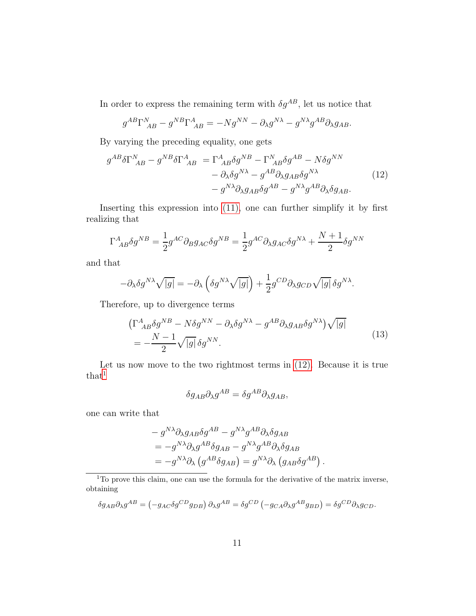In order to express the remaining term with  $\delta g^{AB}$ , let us notice that

<span id="page-10-0"></span>
$$
g^{AB}\Gamma_{\ AB}^N - g^{NB}\Gamma_{\ AB}^A = -Ng^{NN} - \partial_{\lambda}g^{N\lambda} - g^{N\lambda}g^{AB}\partial_{\lambda}g_{AB}.
$$

By varying the preceding equality, one gets

$$
g^{AB}\delta\Gamma^{N}_{\ AB} - g^{NB}\delta\Gamma^{A}_{\ AB} = \Gamma^{A}_{\ AB}\delta g^{NB} - \Gamma^{N}_{\ AB}\delta g^{AB} - N\delta g^{NN} - \partial_{\lambda}\delta g^{N\lambda} - g^{AB}\partial_{\lambda}g_{AB}\delta g^{N\lambda} - g^{N\lambda}\partial_{\lambda}g_{AB}\delta g^{AB} - g^{N\lambda}g^{AB}\partial_{\lambda}\delta g_{AB}.
$$
\n(12)

Inserting this expression into [\(11\),](#page-9-1) one can further simplify it by first realizing that

$$
\Gamma^{A}_{\ AB}\delta g^{NB} = \frac{1}{2}g^{AC}\partial_B g_{AC}\delta g^{NB} = \frac{1}{2}g^{AC}\partial_{\lambda}g_{AC}\delta g^{N\lambda} + \frac{N+1}{2}\delta g^{NN}
$$

and that

$$
-\partial_{\lambda}\delta g^{N\lambda}\sqrt{|g|} = -\partial_{\lambda}\left(\delta g^{N\lambda}\sqrt{|g|}\right) + \frac{1}{2}g^{CD}\partial_{\lambda}g_{CD}\sqrt{|g|}\,\delta g^{N\lambda}.
$$

Therefore, up to divergence terms

$$
\left(\Gamma^{A}_{AB}\delta g^{NB} - N\delta g^{NN} - \partial_{\lambda}\delta g^{N\lambda} - g^{AB}\partial_{\lambda}g_{AB}\delta g^{N\lambda}\right)\sqrt{|g|}
$$
  
= 
$$
-\frac{N-1}{2}\sqrt{|g|}\delta g^{NN}.
$$
 (13)

Let us now move to the two rightmost terms in [\(12\).](#page-10-0) Because it is true  $that<sup>1</sup>$  $that<sup>1</sup>$  $that<sup>1</sup>$ 

$$
\delta g_{AB} \partial_{\lambda} g^{AB} = \delta g^{AB} \partial_{\lambda} g_{AB},
$$

one can write that

$$
- g^{N\lambda} \partial_{\lambda} g_{AB} \delta g^{AB} - g^{N\lambda} g^{AB} \partial_{\lambda} \delta g_{AB}
$$
  
= 
$$
-g^{N\lambda} \partial_{\lambda} g^{AB} \delta g_{AB} - g^{N\lambda} g^{AB} \partial_{\lambda} \delta g_{AB}
$$
  
= 
$$
-g^{N\lambda} \partial_{\lambda} (g^{AB} \delta g_{AB}) = g^{N\lambda} \partial_{\lambda} (g_{AB} \delta g^{AB}).
$$

<sup>1</sup>To prove this claim, one can use the formula for the derivative of the matrix inverse, obtaining

<span id="page-10-1"></span>
$$
\delta g_{AB} \partial_{\lambda} g^{AB} = \left(-g_{AC} \delta g^{CD} g_{DB}\right) \partial_{\lambda} g^{AB} = \delta g^{CD} \left(-g_{CA} \partial_{\lambda} g^{AB} g_{BD}\right) = \delta g^{CD} \partial_{\lambda} g_{CD}.
$$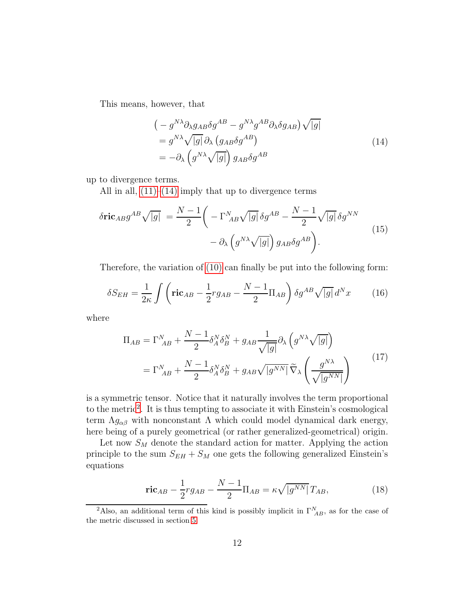This means, however, that

<span id="page-11-0"></span>
$$
\begin{aligned}\n&\left(-g^{N\lambda}\partial_{\lambda}g_{AB}\delta g^{AB} - g^{N\lambda}g^{AB}\partial_{\lambda}\delta g_{AB}\right)\sqrt{|g|} \\
&= g^{N\lambda}\sqrt{|g|}\partial_{\lambda}\left(g_{AB}\delta g^{AB}\right) \\
&= -\partial_{\lambda}\left(g^{N\lambda}\sqrt{|g|}\right)g_{AB}\delta g^{AB}\n\end{aligned} \tag{14}
$$

up to divergence terms.

All in all,  $(11)–(14)$  $(11)–(14)$  imply that up to divergence terms

$$
\delta \text{ric}_{AB} g^{AB} \sqrt{|g|} = \frac{N-1}{2} \left( -\Gamma_{AB}^N \sqrt{|g|} \, \delta g^{AB} - \frac{N-1}{2} \sqrt{|g|} \, \delta g^{NN} \right) - \partial_{\lambda} \left( g^{N\lambda} \sqrt{|g|} \right) g_{AB} \delta g^{AB} \right). \tag{15}
$$

Therefore, the variation of [\(10\)](#page-9-2) can finally be put into the following form:

$$
\delta S_{EH} = \frac{1}{2\kappa} \int \left( \mathbf{ric}_{AB} - \frac{1}{2} r g_{AB} - \frac{N-1}{2} \Pi_{AB} \right) \delta g^{AB} \sqrt{|g|} d^N x \tag{16}
$$

where

$$
\Pi_{AB} = \Gamma_{AB}^{N} + \frac{N-1}{2} \delta_A^N \delta_B^N + g_{AB} \frac{1}{\sqrt{|g|}} \partial_\lambda \left( g^{N\lambda} \sqrt{|g|} \right)
$$

$$
= \Gamma_{AB}^{N} + \frac{N-1}{2} \delta_A^N \delta_B^N + g_{AB} \sqrt{|g^{NN}|} \widetilde{\nabla}_{\lambda} \left( \frac{g^{N\lambda}}{\sqrt{|g^{NN}|}} \right)
$$
(17)

is a symmetric tensor. Notice that it naturally involves the term proportional to the metric<sup>[2](#page-11-1)</sup>. It is thus tempting to associate it with Einstein's cosmological term  $\Lambda g_{\alpha\beta}$  with nonconstant  $\Lambda$  which could model dynamical dark energy, here being of a purely geometrical (or rather generalized-geometrical) origin.

Let now  $S_M$  denote the standard action for matter. Applying the action principle to the sum  $S_{EH} + S_M$  one gets the following generalized Einstein's equations

<span id="page-11-2"></span>
$$
\text{ric}_{AB} - \frac{1}{2}rg_{AB} - \frac{N-1}{2}\Pi_{AB} = \kappa \sqrt{|g^{NN}|}T_{AB},\tag{18}
$$

<span id="page-11-1"></span><sup>&</sup>lt;sup>2</sup>Also, an additional term of this kind is possibly implicit in  $\Gamma_{AB}^{N}$ , as for the case of the metric discussed in section [5.](#page-7-0)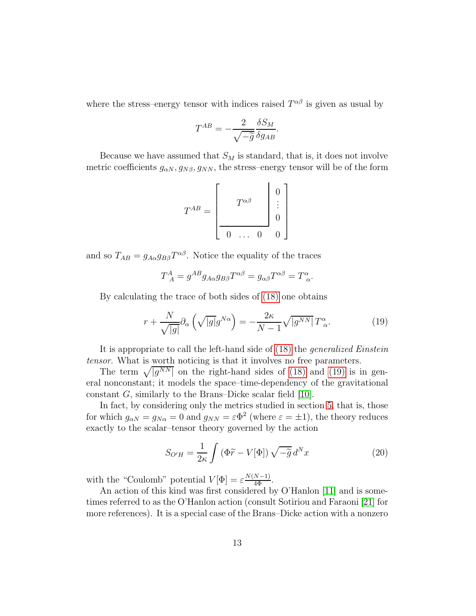where the stress–energy tensor with indices raised  $T^{\alpha\beta}$  is given as usual by

$$
T^{AB} = -\frac{2}{\sqrt{-\tilde{g}}}\frac{\delta S_M}{\delta g_{AB}}.
$$

Because we have assumed that  $S_M$  is standard, that is, it does not involve metric coefficients  $g_{\alpha N}, g_{N\beta}, g_{NN}$ , the stress–energy tensor will be of the form

$$
T^{AB} = \begin{bmatrix} & & & 0 \\ & T^{\alpha\beta} & & \vdots \\ & & & 0 \\ \hline 0 & \dots & 0 & 0 \end{bmatrix}
$$

and so  $T_{AB} = g_{A\alpha}g_{B\beta}T^{\alpha\beta}$ . Notice the equality of the traces

<span id="page-12-0"></span>
$$
T_A^A = g^{AB} g_{A\alpha} g_{B\beta} T^{\alpha\beta} = g_{\alpha\beta} T^{\alpha\beta} = T_\alpha^\alpha.
$$

By calculating the trace of both sides of [\(18\)](#page-11-2) one obtains

$$
r + \frac{N}{\sqrt{|g|}} \partial_{\alpha} \left( \sqrt{|g|} g^{N\alpha} \right) = -\frac{2\kappa}{N-1} \sqrt{|g^{NN}|} T^{\alpha}_{\alpha}.
$$
 (19)

It is appropriate to call the left-hand side of [\(18\)](#page-11-2) the *generalized Einstein* tensor. What is worth noticing is that it involves no free parameters.

The term  $\sqrt{|g^{NN}|}$  on the right-hand sides of [\(18\)](#page-11-2) and [\(19\)](#page-12-0) is in general nonconstant; it models the space–time-dependency of the gravitational constant G, similarly to the Brans–Dicke scalar field [\[10\]](#page-18-9).

In fact, by considering only the metrics studied in section [5,](#page-7-0) that is, those for which  $g_{\alpha N} = g_{N\alpha} = 0$  and  $g_{NN} = \varepsilon \Phi^2$  (where  $\varepsilon = \pm 1$ ), the theory reduces exactly to the scalar–tensor theory governed by the action

<span id="page-12-1"></span>
$$
S_{O'H} = \frac{1}{2\kappa} \int \left( \Phi \widetilde{r} - V[\Phi] \right) \sqrt{-\widetilde{g}} \, d^N x \tag{20}
$$

with the "Coulomb" potential  $V[\Phi] = \varepsilon \frac{N(N-1)}{4\Phi}$ .

An action of this kind was first considered by O'Hanlon [\[11\]](#page-18-10) and is sometimes referred to as the O'Hanlon action (consult Sotiriou and Faraoni [\[21\]](#page-19-5) for more references). It is a special case of the Brans–Dicke action with a nonzero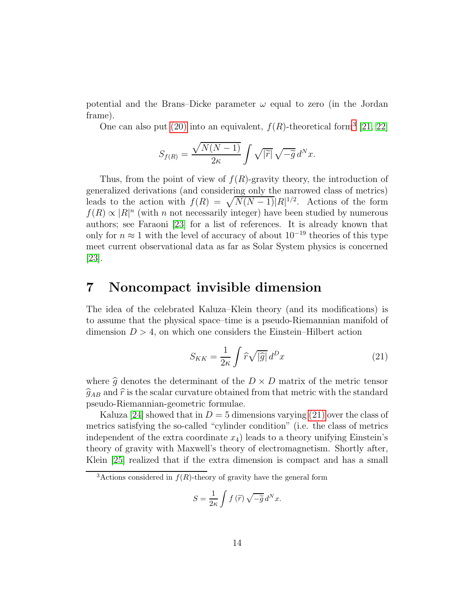potential and the Brans–Dicke parameter  $\omega$  equal to zero (in the Jordan frame).

One can also put [\(20\)](#page-12-1) into an equivalent,  $f(R)$ -theoretical form<sup>[3](#page-13-1)</sup> [\[21,](#page-19-5) [22\]](#page-19-6)

$$
S_{f(R)} = \frac{\sqrt{N(N-1)}}{2\kappa} \int \sqrt{|\widetilde{r}|} \sqrt{-\widetilde{g}} d^N x.
$$

Thus, from the point of view of  $f(R)$ -gravity theory, the introduction of generalized derivations (and considering only the narrowed class of metrics) leads to the action with  $f(R) = \sqrt{N(N-1)}|R|^{1/2}$ . Actions of the form  $f(R) \propto |R|^n$  (with n not necessarily integer) have been studied by numerous authors; see Faraoni [\[23\]](#page-19-7) for a list of references. It is already known that only for  $n \approx 1$  with the level of accuracy of about  $10^{-19}$  theories of this type meet current observational data as far as Solar System physics is concerned [\[23\]](#page-19-7).

### <span id="page-13-0"></span>7 Noncompact invisible dimension

The idea of the celebrated Kaluza–Klein theory (and its modifications) is to assume that the physical space–time is a pseudo-Riemannian manifold of dimension  $D > 4$ , on which one considers the Einstein–Hilbert action

<span id="page-13-2"></span>
$$
S_{KK} = \frac{1}{2\kappa} \int \hat{r} \sqrt{|\hat{g}|} \, d^D x \tag{21}
$$

where  $\hat{g}$  denotes the determinant of the  $D \times D$  matrix of the metric tensor  $\widehat{g}_{AB}$  and  $\widehat{r}$  is the scalar curvature obtained from that metric with the standard pseudo-Riemannian-geometric formulae.

Kaluza [\[24\]](#page-19-8) showed that in  $D = 5$  dimensions varying [\(21\)](#page-13-2) over the class of metrics satisfying the so-called "cylinder condition" (i.e. the class of metrics independent of the extra coordinate  $x_4$ ) leads to a theory unifying Einstein's theory of gravity with Maxwell's theory of electromagnetism. Shortly after, Klein [\[25\]](#page-19-9) realized that if the extra dimension is compact and has a small

$$
S = \frac{1}{2\kappa} \int f(\tilde{r}) \sqrt{-\tilde{g}} d^N x.
$$

<span id="page-13-1"></span><sup>&</sup>lt;sup>3</sup>Actions considered in  $f(R)$ -theory of gravity have the general form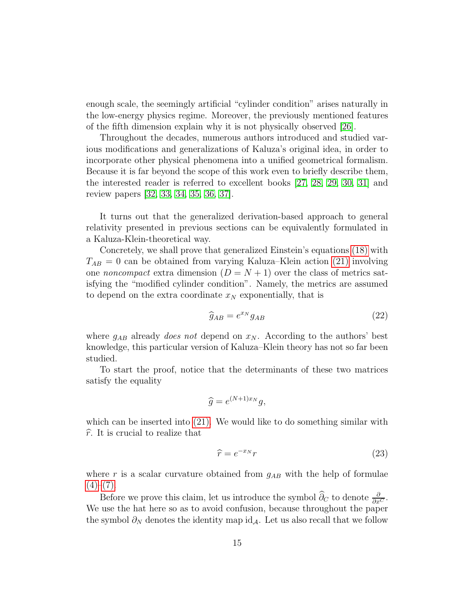enough scale, the seemingly artificial "cylinder condition" arises naturally in the low-energy physics regime. Moreover, the previously mentioned features of the fifth dimension explain why it is not physically observed [\[26\]](#page-19-10).

Throughout the decades, numerous authors introduced and studied various modifications and generalizations of Kaluza's original idea, in order to incorporate other physical phenomena into a unified geometrical formalism. Because it is far beyond the scope of this work even to briefly describe them, the interested reader is referred to excellent books [\[27,](#page-19-11) [28,](#page-19-12) [29,](#page-19-13) [30,](#page-19-14) [31\]](#page-19-15) and review papers [\[32,](#page-19-16) [33,](#page-20-0) [34,](#page-20-1) [35,](#page-20-2) [36,](#page-20-3) [37\]](#page-20-4).

It turns out that the generalized derivation-based approach to general relativity presented in previous sections can be equivalently formulated in a Kaluza-Klein-theoretical way.

Concretely, we shall prove that generalized Einstein's equations [\(18\)](#page-11-2) with  $T_{AB} = 0$  can be obtained from varying Kaluza–Klein action [\(21\)](#page-13-2) involving one *noncompact* extra dimension  $(D = N + 1)$  over the class of metrics satisfying the "modified cylinder condition". Namely, the metrics are assumed to depend on the extra coordinate  $x_N$  exponentially, that is

<span id="page-14-1"></span>
$$
\widehat{g}_{AB} = e^{x_N} g_{AB} \tag{22}
$$

where  $g_{AB}$  already *does not* depend on  $x_N$ . According to the authors' best knowledge, this particular version of Kaluza–Klein theory has not so far been studied.

To start the proof, notice that the determinants of these two matrices satisfy the equality

$$
\widehat{g} = e^{(N+1)x_N}g,
$$

which can be inserted into [\(21\).](#page-13-2) We would like to do something similar with  $\hat{r}$ . It is crucial to realize that

<span id="page-14-0"></span>
$$
\widehat{r} = e^{-x_N} r \tag{23}
$$

where r is a scalar curvature obtained from  $g_{AB}$  with the help of formulae  $(4)-(7)$ .

Before we prove this claim, let us introduce the symbol  $\hat{\partial}_C$  to denote  $\frac{\partial}{\partial x^C}$ . We use the hat here so as to avoid confusion, because throughout the paper the symbol  $\partial_N$  denotes the identity map id<sub>A</sub>. Let us also recall that we follow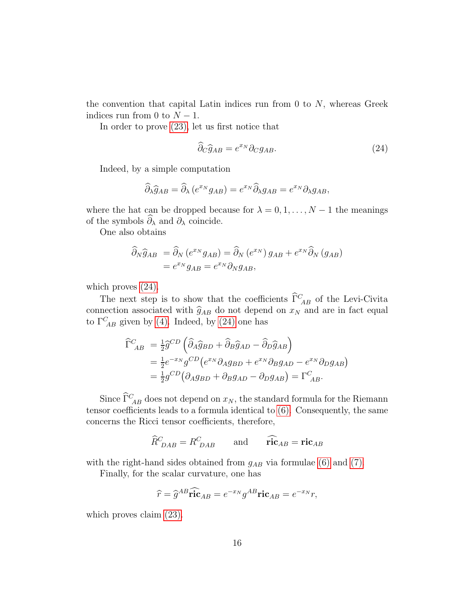the convention that capital Latin indices run from 0 to  $N$ , whereas Greek indices run from 0 to  $N-1$ .

In order to prove [\(23\),](#page-14-0) let us first notice that

<span id="page-15-0"></span>
$$
\widehat{\partial}_C \widehat{g}_{AB} = e^{x_N} \partial_C g_{AB}.
$$
\n(24)

Indeed, by a simple computation

$$
\widehat{\partial}_{\lambda}\widehat{g}_{AB} = \widehat{\partial}_{\lambda}\left(e^{x_N}g_{AB}\right) = e^{x_N}\widehat{\partial}_{\lambda}g_{AB} = e^{x_N}\partial_{\lambda}g_{AB},
$$

where the hat can be dropped because for  $\lambda = 0, 1, ..., N - 1$  the meanings of the symbols  $\widehat{\partial}_{\lambda}$  and  $\partial_{\lambda}$  coincide.

One also obtains

$$
\widehat{\partial}_N \widehat{g}_{AB} = \widehat{\partial}_N \left( e^{x_N} g_{AB} \right) = \widehat{\partial}_N \left( e^{x_N} \right) g_{AB} + e^{x_N} \widehat{\partial}_N \left( g_{AB} \right)
$$

$$
= e^{x_N} g_{AB} = e^{x_N} \partial_N g_{AB},
$$

which proves [\(24\).](#page-15-0)

The next step is to show that the coefficients  $\tilde{\Gamma}_{AB}^C$  of the Levi-Civita connection associated with  $\hat{g}_{AB}$  do not depend on  $x_N$  and are in fact equal to  $\Gamma^C_{AB}$  given by [\(4\).](#page-6-2) Indeed, by [\(24\)](#page-15-0) one has

$$
\begin{split} \widehat{\Gamma}^{C}_{AB} &= \frac{1}{2} \widehat{g}^{CD} \left( \widehat{\partial}_{A} \widehat{g}_{BD} + \widehat{\partial}_{B} \widehat{g}_{AD} - \widehat{\partial}_{D} \widehat{g}_{AB} \right) \\ &= \frac{1}{2} e^{-x_N} g^{CD} \left( e^{x_N} \partial_{A} g_{BD} + e^{x_N} \partial_{B} g_{AD} - e^{x_N} \partial_{D} g_{AB} \right) \\ &= \frac{1}{2} g^{CD} \left( \partial_{A} g_{BD} + \partial_{B} g_{AD} - \partial_{D} g_{AB} \right) = \Gamma^{C}_{AB}. \end{split}
$$

Since  $\tilde{\Gamma}_{AB}^C$  does not depend on  $x_N$ , the standard formula for the Riemann tensor coefficients leads to a formula identical to [\(6\).](#page-7-1) Consequently, the same concerns the Ricci tensor coefficients, therefore,

$$
\widehat{R}_{\ DAB}^C = R_{\ DAB}^C \qquad \text{and} \qquad \widehat{\text{ric}}_{AB} = \text{ric}_{AB}
$$

with the right-hand sides obtained from  $g_{AB}$  via formulae [\(6\)](#page-7-1) and [\(7\).](#page-7-2)

Finally, for the scalar curvature, one has

$$
\widehat{r} = \widehat{g}^{AB}\widehat{\text{ric}}_{AB} = e^{-x_N}g^{AB}\text{ric}_{AB} = e^{-x_N}r,
$$

which proves claim  $(23)$ .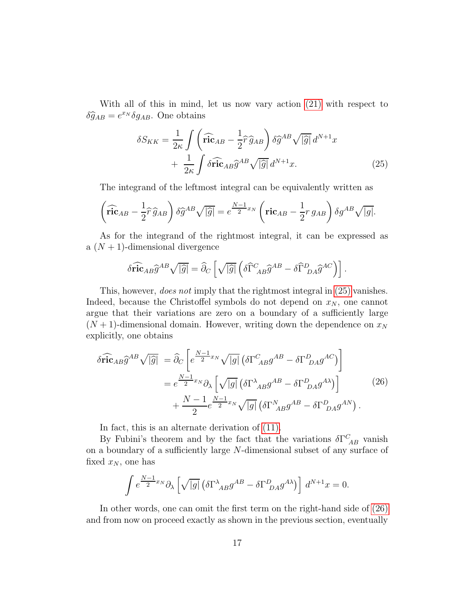With all of this in mind, let us now vary action [\(21\)](#page-13-2) with respect to  $\delta \hat{g}_{AB} = e^{x_N} \delta g_{AB}$ . One obtains

<span id="page-16-0"></span>
$$
\delta S_{KK} = \frac{1}{2\kappa} \int \left( \widehat{\mathbf{ric}}_{AB} - \frac{1}{2} \widehat{r} \,\widehat{g}_{AB} \right) \delta \widehat{g}^{AB} \sqrt{|\widehat{g}|} \, d^{N+1}x + \frac{1}{2\kappa} \int \delta \widehat{\mathbf{ric}}_{AB} \widehat{g}^{AB} \sqrt{|\widehat{g}|} \, d^{N+1}x.
$$
 (25)

The integrand of the leftmost integral can be equivalently written as

$$
\left(\widehat{\mathbf{ric}}_{AB} - \frac{1}{2}\widehat{r}\,\widehat{g}_{AB}\right)\delta\widehat{g}^{AB}\sqrt{|\widehat{g}|} = e^{\frac{N-1}{2}x_N}\left(\mathbf{ric}_{AB} - \frac{1}{2}r\,g_{AB}\right)\delta g^{AB}\sqrt{|g|}.
$$

As for the integrand of the rightmost integral, it can be expressed as a  $(N + 1)$ -dimensional divergence

$$
\delta \widehat{\text{ric}}_{AB} \widehat{g}^{AB} \sqrt{|\widehat{g}|} = \widehat{\partial}_C \left[ \sqrt{|\widehat{g}|} \left( \delta \widehat{\Gamma}^C_{AB} \widehat{g}^{AB} - \delta \widehat{\Gamma}^D_{DA} \widehat{g}^{AC} \right) \right].
$$

This, however, *does not* imply that the rightmost integral in  $(25)$  vanishes. Indeed, because the Christoffel symbols do not depend on  $x_N$ , one cannot argue that their variations are zero on a boundary of a sufficiently large  $(N+1)$ -dimensional domain. However, writing down the dependence on  $x_N$ explicitly, one obtains

$$
\delta \widehat{\text{ric}}_{AB} \widehat{g}^{AB} \sqrt{|\widehat{g}|} = \widehat{\partial}_{C} \left[ e^{\frac{N-1}{2}x_N} \sqrt{|g|} \left( \delta \Gamma^{C}_{AB} g^{AB} - \delta \Gamma^{D}_{DA} g^{AC} \right) \right]
$$

$$
= e^{\frac{N-1}{2}x_N} \partial_{\lambda} \left[ \sqrt{|g|} \left( \delta \Gamma^{\lambda}_{AB} g^{AB} - \delta \Gamma^{D}_{DA} g^{A\lambda} \right) \right]
$$

$$
+ \frac{N-1}{2} e^{\frac{N-1}{2}x_N} \sqrt{|g|} \left( \delta \Gamma^N_{AB} g^{AB} - \delta \Gamma^D_{DA} g^{AN} \right).
$$
(26)

In fact, this is an alternate derivation of [\(11\).](#page-9-1)

By Fubini's theorem and by the fact that the variations  $\delta\Gamma^C_{\ AB}$  vanish on a boundary of a sufficiently large N-dimensional subset of any surface of fixed  $x_N$ , one has

<span id="page-16-1"></span>
$$
\int e^{\frac{N-1}{2}x_N} \partial_\lambda \left[ \sqrt{|g|} \left( \delta \Gamma^\lambda_{AB} g^{AB} - \delta \Gamma^D_{DA} g^{A\lambda} \right) \right] d^{N+1}x = 0.
$$

In other words, one can omit the first term on the right-hand side of [\(26\)](#page-16-1) and from now on proceed exactly as shown in the previous section, eventually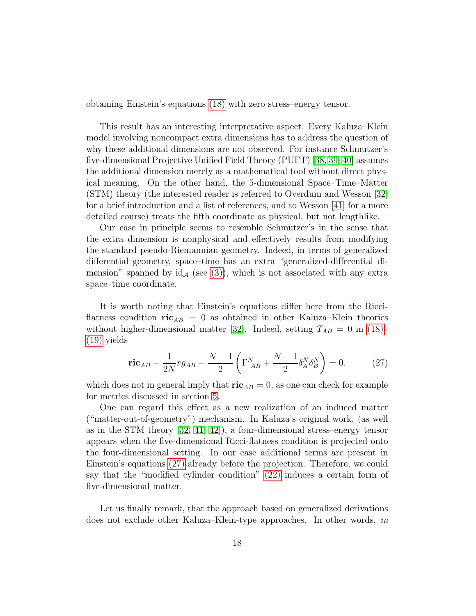obtaining Einstein's equations [\(18\)](#page-11-2) with zero stress–energy tensor.

This result has an interesting interpretative aspect. Every Kaluza–Klein model involving noncompact extra dimensions has to address the question of why these additional dimensions are not observed. For instance Schmutzer's five-dimensional Projective Unified Field Theory (PUFT) [\[38,](#page-20-5) [39,](#page-20-6) [40\]](#page-20-7) assumes the additional dimension merely as a mathematical tool without direct physical meaning. On the other hand, the 5-dimensional Space–Time–Matter (STM) theory (the interested reader is referred to Overduin and Wesson [\[32\]](#page-19-16) for a brief introduction and a list of references, and to Wesson [\[41\]](#page-20-8) for a more detailed course) treats the fifth coordinate as physical, but not lengthlike.

Our case in principle seems to resemble Schmutzer's in the sense that the extra dimension is nonphysical and effectively results from modifying the standard pseudo-Riemannian geometry. Indeed, in terms of generalized differential geometry, space–time has an extra "generalized-differential dimension" spanned by  $id_A$  (see [\(3\)\)](#page-6-3), which is not associated with any extra space–time coordinate.

It is worth noting that Einstein's equations differ here from the Ricciflatness condition  $ric_{AB} = 0$  as obtained in other Kaluza–Klein theories without higher-dimensional matter [\[32\]](#page-19-16). Indeed, setting  $T_{AB} = 0$  in [\(18\)–](#page-11-2) [\(19\)](#page-12-0) yields

<span id="page-17-0"></span>
$$
\dot{\mathbf{ric}}_{AB} - \frac{1}{2N}rg_{AB} - \frac{N-1}{2}\left(\Gamma_{AB}^N + \frac{N-1}{2}\delta_A^N\delta_B^N\right) = 0,\tag{27}
$$

which does not in general imply that  $ric_{AB} = 0$ , as one can check for example for metrics discussed in section [5.](#page-7-0)

One can regard this effect as a new realization of an induced matter ("matter-out-of-geometry") mechanism. In Kaluza's original work, (as well as in the STM theory  $[32, 41, 42]$  $[32, 41, 42]$  $[32, 41, 42]$ , a four-dimensional stress-energy tensor appears when the five-dimensional Ricci-flatness condition is projected onto the four-dimensional setting. In our case additional terms are present in Einstein's equations [\(27\)](#page-17-0) already before the projection. Therefore, we could say that the "modified cylinder condition" [\(22\)](#page-14-1) induces a certain form of five-dimensional matter.

Let us finally remark, that the approach based on generalized derivations does not exclude other Kaluza–Klein-type approaches. In other words, in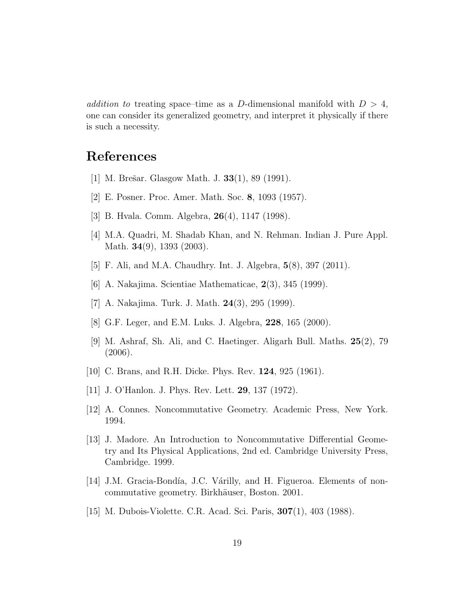addition to treating space–time as a D-dimensional manifold with  $D > 4$ , one can consider its generalized geometry, and interpret it physically if there is such a necessity.

### <span id="page-18-0"></span>References

- <span id="page-18-1"></span>[1] M. Brešar. Glasgow Math. J.  $33(1)$ , 89 (1991).
- <span id="page-18-2"></span>[2] E. Posner. Proc. Amer. Math. Soc. 8, 1093 (1957).
- <span id="page-18-3"></span>[3] B. Hvala. Comm. Algebra, 26(4), 1147 (1998).
- <span id="page-18-4"></span>[4] M.A. Quadri, M. Shadab Khan, and N. Rehman. Indian J. Pure Appl. Math. **34**(9), 1393 (2003).
- <span id="page-18-5"></span>[5] F. Ali, and M.A. Chaudhry. Int. J. Algebra, 5(8), 397 (2011).
- <span id="page-18-6"></span>[6] A. Nakajima. Scientiae Mathematicae, 2(3), 345 (1999).
- <span id="page-18-7"></span>[7] A. Nakajima. Turk. J. Math. 24(3), 295 (1999).
- <span id="page-18-8"></span>[8] G.F. Leger, and E.M. Luks. J. Algebra, 228, 165 (2000).
- [9] M. Ashraf, Sh. Ali, and C. Haetinger. Aligarh Bull. Maths. 25(2), 79 (2006).
- <span id="page-18-10"></span><span id="page-18-9"></span>[10] C. Brans, and R.H. Dicke. Phys. Rev. 124, 925 (1961).
- <span id="page-18-11"></span>[11] J. O'Hanlon. J. Phys. Rev. Lett. 29, 137 (1972).
- <span id="page-18-12"></span>[12] A. Connes. Noncommutative Geometry. Academic Press, New York. 1994.
- [13] J. Madore. An Introduction to Noncommutative Differential Geometry and Its Physical Applications, 2nd ed. Cambridge University Press, Cambridge. 1999.
- <span id="page-18-14"></span><span id="page-18-13"></span>[14] J.M. Gracia-Bondía, J.C. Várilly, and H. Figueroa. Elements of noncommutative geometry. Birkhäuser, Boston. 2001.
- [15] M. Dubois-Violette. C.R. Acad. Sci. Paris, 307(1), 403 (1988).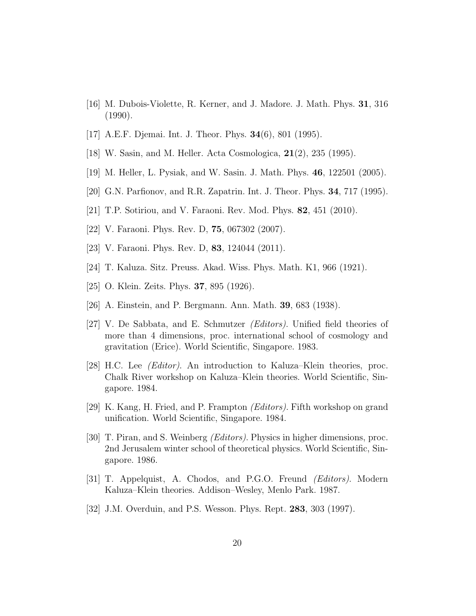- <span id="page-19-1"></span><span id="page-19-0"></span>[16] M. Dubois-Violette, R. Kerner, and J. Madore. J. Math. Phys. 31, 316 (1990).
- <span id="page-19-2"></span>[17] A.E.F. Djemai. Int. J. Theor. Phys. 34(6), 801 (1995).
- <span id="page-19-3"></span>[18] W. Sasin, and M. Heller. Acta Cosmologica, **21**(2), 235 (1995).
- <span id="page-19-4"></span>[19] M. Heller, L. Pysiak, and W. Sasin. J. Math. Phys. 46, 122501 (2005).
- <span id="page-19-5"></span>[20] G.N. Parfionov, and R.R. Zapatrin. Int. J. Theor. Phys. 34, 717 (1995).
- <span id="page-19-6"></span>[21] T.P. Sotiriou, and V. Faraoni. Rev. Mod. Phys. 82, 451 (2010).
- <span id="page-19-7"></span>[22] V. Faraoni. Phys. Rev. D, 75, 067302 (2007).
- <span id="page-19-8"></span>[23] V. Faraoni. Phys. Rev. D, 83, 124044 (2011).
- <span id="page-19-9"></span>[24] T. Kaluza. Sitz. Preuss. Akad. Wiss. Phys. Math. K1, 966 (1921).
- <span id="page-19-10"></span>[25] O. Klein. Zeits. Phys. **37**, 895 (1926).
- <span id="page-19-11"></span>[26] A. Einstein, and P. Bergmann. Ann. Math. 39, 683 (1938).
- [27] V. De Sabbata, and E. Schmutzer (Editors). Unified field theories of more than 4 dimensions, proc. international school of cosmology and gravitation (Erice). World Scientific, Singapore. 1983.
- <span id="page-19-12"></span>[28] H.C. Lee *(Editor)*. An introduction to Kaluza–Klein theories, proc. Chalk River workshop on Kaluza–Klein theories. World Scientific, Singapore. 1984.
- <span id="page-19-14"></span><span id="page-19-13"></span>[29] K. Kang, H. Fried, and P. Frampton (Editors). Fifth workshop on grand unification. World Scientific, Singapore. 1984.
- [30] T. Piran, and S. Weinberg (Editors). Physics in higher dimensions, proc. 2nd Jerusalem winter school of theoretical physics. World Scientific, Singapore. 1986.
- <span id="page-19-16"></span><span id="page-19-15"></span>[31] T. Appelquist, A. Chodos, and P.G.O. Freund (Editors). Modern Kaluza–Klein theories. Addison–Wesley, Menlo Park. 1987.
- [32] J.M. Overduin, and P.S. Wesson. Phys. Rept. 283, 303 (1997).